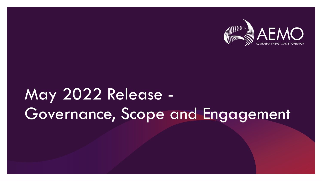

# May 2022 Release - Governance, Scope and Engagement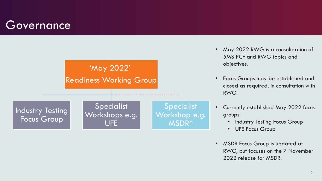#### **Governance**



- May 2022 RWG is a consolidation of 5MS PCF and RWG topics and objectives.
- Focus Groups may be established and closed as required, in consultation with RWG.
- Currently established May 2022 focus groups:
	- Industry Testing Focus Group
	- UFE Focus Group
- MSDR Focus Group is updated at RWG, but focuses on the 7 November 2022 release for MSDR.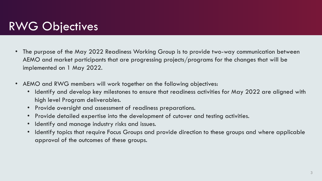#### RWG Objectives

- The purpose of the May 2022 Readiness Working Group is to provide two-way communication between AEMO and market participants that are progressing projects/programs for the changes that will be implemented on 1 May 2022.
- AEMO and RWG members will work together on the following objectives:
	- Identify and develop key milestones to ensure that readiness activities for May 2022 are aligned with high level Program deliverables.
	- Provide oversight and assessment of readiness preparations.
	- Provide detailed expertise into the development of cutover and testing activities.
	- Identify and manage industry risks and issues.
	- Identify topics that require Focus Groups and provide direction to these groups and where applicable approval of the outcomes of these groups.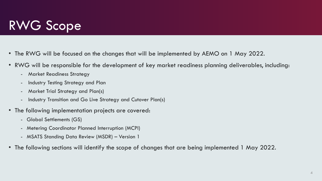### RWG Scope

- The RWG will be focused on the changes that will be implemented by AEMO on 1 May 2022.
- RWG will be responsible for the development of key market readiness planning deliverables, including:
	- Market Readiness Strategy
	- Industry Testing Strategy and Plan
	- Market Trial Strategy and Plan(s)
	- Industry Transition and Go Live Strategy and Cutover Plan(s)
- The following implementation projects are covered:
	- Global Settlements (GS)
	- Metering Coordinator Planned Interruption (MCPI)
	- MSATS Standing Data Review (MSDR) Version 1
- The following sections will identify the scope of changes that are being implemented 1 May 2022.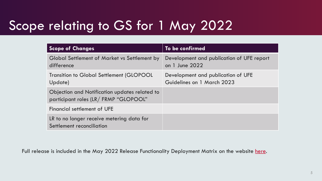## Scope relating to GS for 1 May 2022

| <b>Scope of Changes</b>                                                               | To be confirmed                                                  |
|---------------------------------------------------------------------------------------|------------------------------------------------------------------|
| <b>Global Settlement of Market vs Settlement by</b><br>difference                     | Development and publication of UFE report<br>on 1 June 2022      |
| <b>Transition to Global Settlement (GLOPOOL</b><br>Update)                            | Development and publication of UFE<br>Guidelines on 1 March 2023 |
| Objection and Notification updates related to<br>participant roles (LR/FRMP "GLOPOOL" |                                                                  |
| Financial settlement of UFE                                                           |                                                                  |
| LR to no longer receive metering data for<br>Settlement reconciliation                |                                                                  |

Full release is included in the May 2022 Release Functionality Deployment Matrix on the website [here.](https://aemo.com.au/initiatives/major-programs/nem-five-minute-settlement--program-and-global-settlement/participant-toolbox/logs-and-registers)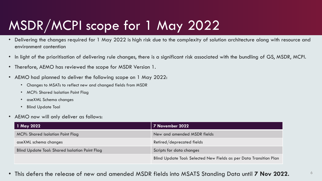# MSDR/MCPI scope for 1 May 2022

- Delivering the changes required for 1 May 2022 is high risk due to the complexity of solution architecture along with resource and environment contention
- In light of the prioritisation of delivering rule changes, there is a significant risk associated with the bundling of GS, MSDR, MCPI.
- Therefore, AEMO has reviewed the scope for MSDR Version 1.
- AEMO had planned to deliver the following scope on 1 May 2022:
	- Changes to MSATs to reflect new and changed fields from MSDR
	- MCPI: Shared Isolation Point Flag
	- aseXML Schema changes
	- Blind Update Tool
- AEMO now will only deliver as follows:

| 1 May 2022                                            | 7 November 2022                                                    |  |
|-------------------------------------------------------|--------------------------------------------------------------------|--|
| <b>MCPI: Shared Isolation Point Flag</b>              | New and amended MSDR fields                                        |  |
| aseXML schema changes                                 | Retired/deprecated fields                                          |  |
| <b>Blind Update Tool: Shared Isolation Point Flag</b> | Scripts for data changes                                           |  |
|                                                       | Blind Update Tool: Selected New Fields as per Data Transition Plan |  |

• This defers the release of new and amended MSDR fields into MSATS Standing Data until **7 Nov 2022.**  $\qquad$